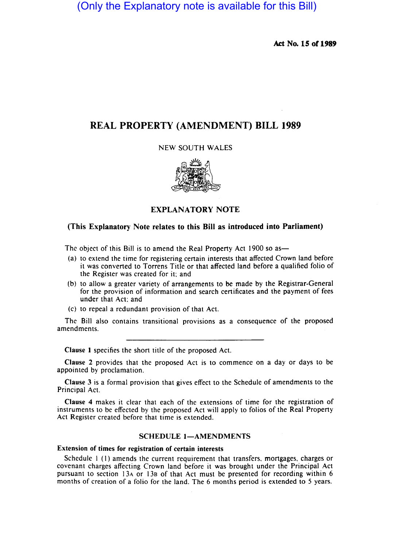(Only the Explanatory note is available for this Bill)

Act No. 15 or 1989

# REAL PROPERTY (AMENDMENT) BILL 1989

NEW SOUTH WALES



EXPLANATORY NOTE

## (This Explanatory Note relates to this Bill as introduced into Parliament)

The object of this Bill is to amend the Real Property Act 1900 so as-

- (a) to extend the time for registering certain interests that affected Crown land before it was converted to Torrens Title or that affected land before a qualified folio of the Register was created for it; and
- (b) to allow a greater variety of arrangements to be made by the Registrar-General for the provision of information and search certificates and the payment of fees under that Act; and
- (c) to repeal a redundant provision of that Act.

The Bill also contains transitional provisions as a consequence of the proposed amendments.

Clause I specifies the short title of the proposed Act.

Clause 2 provides that the proposed Act is to commence on a day or days to be appointed by proclamation.

Clause 3 is a formal provision that gives effect to the Schedule of amendments to the Principal Act.

Clause 4 makes it clear that each of the extensions of time for the registration of instruments to be effected by the proposed Act will apply to folios of the Real Property Act Register created before that time is extended.

## SCHEDULE 1-AMENDMENTS

### Extension of times for registration of certain interests

Schedule 1 (1) amends the current requirement that transfers, mortgages, charges or covenant charges affecting Crown land before it was brought under the Principal Act pursuant to section 13A or 138 of that Act must be presented for recording within 6 months of creation of a folio for the land. The 6 months period is extended to 5 years.